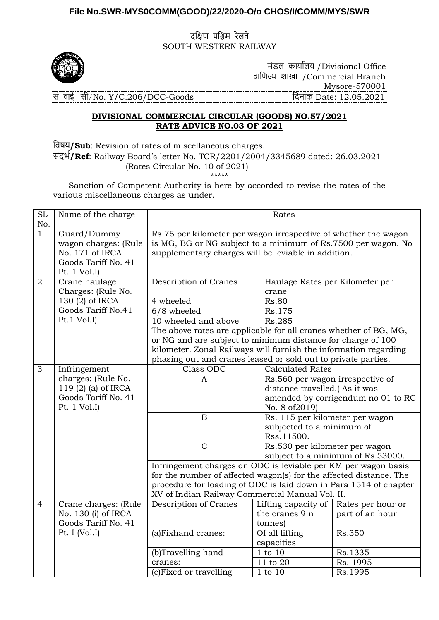## **File No.SWR-MYS0COMM(GOOD)/22/2020-O/o CHOS/I/COMM/MYS/SWR**

दक्षिण पक्षिम रेलवे SOUTH WESTERN RAILWAY



 मंडल कार्ाालर् /Divisional Office वाक्षणज्य शाखा /Commercial Branch Mysore-570001 सं वाई सी/No. Y/C.206/DCC-Goods क्षदनांक Date: 12.05.2021

## **DIVISIONAL COMMERCIAL CIRCULAR (GOODS) NO.57/2021 RATE ADVICE NO.03 OF 2021**

क्षवषर्**/Sub**: Revision of rates of miscellaneous charges. संदर्ा**/Ref**: Railway Board's letter No. TCR/2201/2004/3345689 dated: 26.03.2021 (Rates Circular No. 10 of 2021) \*\*\*\*\*

 Sanction of Competent Authority is here by accorded to revise the rates of the various miscellaneous charges as under.

| <b>SL</b><br>No. | Name of the charge                                                                             | Rates                                                                                                                                                                                   |                                                                                          |                                    |  |
|------------------|------------------------------------------------------------------------------------------------|-----------------------------------------------------------------------------------------------------------------------------------------------------------------------------------------|------------------------------------------------------------------------------------------|------------------------------------|--|
| $\mathbf{1}$     | Guard/Dummy<br>wagon charges: (Rule<br>No. 171 of IRCA<br>Goods Tariff No. 41<br>Pt. $1 Vol.I$ | Rs.75 per kilometer per wagon irrespective of whether the wagon<br>is MG, BG or NG subject to a minimum of Rs.7500 per wagon. No<br>supplementary charges will be leviable in addition. |                                                                                          |                                    |  |
| $\overline{2}$   | Crane haulage                                                                                  | Description of Cranes                                                                                                                                                                   | Haulage Rates per Kilometer per                                                          |                                    |  |
|                  | Charges: (Rule No.                                                                             |                                                                                                                                                                                         | crane                                                                                    |                                    |  |
|                  | 130 (2) of IRCA<br>Goods Tariff No.41                                                          | 4 wheeled                                                                                                                                                                               | <b>Rs.80</b>                                                                             |                                    |  |
|                  | Pt.1 Vol.I                                                                                     | $6/8$ wheeled                                                                                                                                                                           | Rs.175                                                                                   |                                    |  |
|                  |                                                                                                | 10 wheeled and above                                                                                                                                                                    | Rs.285                                                                                   |                                    |  |
|                  |                                                                                                | The above rates are applicable for all cranes whether of BG, MG,<br>or NG and are subject to minimum distance for charge of 100                                                         |                                                                                          |                                    |  |
|                  |                                                                                                |                                                                                                                                                                                         |                                                                                          |                                    |  |
|                  |                                                                                                | kilometer. Zonal Railways will furnish the information regarding                                                                                                                        |                                                                                          |                                    |  |
| 3                | Infringement                                                                                   | Class ODC                                                                                                                                                                               | phasing out and cranes leased or sold out to private parties.<br><b>Calculated Rates</b> |                                    |  |
|                  | charges: (Rule No.                                                                             | $\mathbf{A}$                                                                                                                                                                            | Rs.560 per wagon irrespective of                                                         |                                    |  |
|                  | 119 (2) (a) of IRCA                                                                            |                                                                                                                                                                                         | distance travelled.(As it was                                                            |                                    |  |
|                  | Goods Tariff No. 41                                                                            |                                                                                                                                                                                         |                                                                                          | amended by corrigendum no 01 to RC |  |
|                  | Pt. $1$ Vol. I)                                                                                |                                                                                                                                                                                         | No. 8 of 2019)                                                                           |                                    |  |
|                  |                                                                                                | $\, {\bf B}$                                                                                                                                                                            | Rs. 115 per kilometer per wagon                                                          |                                    |  |
|                  |                                                                                                |                                                                                                                                                                                         | subjected to a minimum of                                                                |                                    |  |
|                  |                                                                                                |                                                                                                                                                                                         | Rss.11500.                                                                               |                                    |  |
|                  |                                                                                                | $\mathbf C$                                                                                                                                                                             | Rs.530 per kilometer per wagon                                                           |                                    |  |
|                  |                                                                                                |                                                                                                                                                                                         | subject to a minimum of Rs.53000.                                                        |                                    |  |
|                  |                                                                                                |                                                                                                                                                                                         | Infringement charges on ODC is leviable per KM per wagon basis                           |                                    |  |
|                  |                                                                                                | for the number of affected wagon(s) for the affected distance. The                                                                                                                      |                                                                                          |                                    |  |
|                  |                                                                                                |                                                                                                                                                                                         | procedure for loading of ODC is laid down in Para 1514 of chapter                        |                                    |  |
|                  |                                                                                                | XV of Indian Railway Commercial Manual Vol. II.                                                                                                                                         |                                                                                          |                                    |  |
| $\overline{4}$   | Crane charges: (Rule                                                                           | Description of Cranes                                                                                                                                                                   | Lifting capacity of                                                                      | Rates per hour or                  |  |
|                  | No. 130 (i) of IRCA                                                                            |                                                                                                                                                                                         | the cranes 9in                                                                           | part of an hour                    |  |
|                  | Goods Tariff No. 41                                                                            |                                                                                                                                                                                         | tonnes)                                                                                  |                                    |  |
|                  | Pt. I (Vol.I)                                                                                  | (a)Fixhand cranes:                                                                                                                                                                      | Of all lifting                                                                           | Rs.350                             |  |
|                  |                                                                                                |                                                                                                                                                                                         | capacities<br>1 to 10                                                                    | Rs.1335                            |  |
|                  |                                                                                                | (b)Travelling hand<br>cranes:                                                                                                                                                           | 11 to 20                                                                                 | Rs. 1995                           |  |
|                  |                                                                                                |                                                                                                                                                                                         | 1 to 10                                                                                  |                                    |  |
|                  |                                                                                                | (c)Fixed or travelling                                                                                                                                                                  |                                                                                          | Rs.1995                            |  |